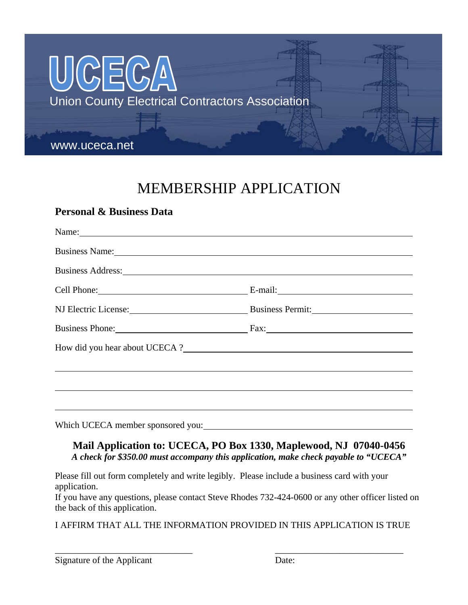

# MEMBERSHIP APPLICATION

### **Personal & Business Data**

| Name: Name and the set of the set of the set of the set of the set of the set of the set of the set of the set of the set of the set of the set of the set of the set of the set of the set of the set of the set of the set o |         |  |
|--------------------------------------------------------------------------------------------------------------------------------------------------------------------------------------------------------------------------------|---------|--|
| Business Name: 1988. Contact the contract of the contact of the contact of the contact of the contact of the contact of the contact of the contact of the contact of the contact of the contact of the contact of the contact  |         |  |
| Business Address: New York Contract to the Contract of the Contract of the Contract of the Contract of the Contract of the Contract of the Contract of the Contract of the Contract of the Contract of the Contract of the Con |         |  |
| Cell Phone: 2008                                                                                                                                                                                                               | E-mail: |  |
| NJ Electric License: Business Permit:                                                                                                                                                                                          |         |  |
| Business Phone: Fax: Fax:                                                                                                                                                                                                      |         |  |
|                                                                                                                                                                                                                                |         |  |
|                                                                                                                                                                                                                                |         |  |
|                                                                                                                                                                                                                                |         |  |
|                                                                                                                                                                                                                                |         |  |
|                                                                                                                                                                                                                                |         |  |

Which UCECA member sponsored you:

#### **Mail Application to: UCECA, PO Box 1330, Maplewood, NJ 07040-0456**  *A check for \$350.00 must accompany this application, make check payable to "UCECA"*

Please fill out form completely and write legibly. Please include a business card with your application.

If you have any questions, please contact Steve Rhodes 732-424-0600 or any other officer listed on the back of this application.

I AFFIRM THAT ALL THE INFORMATION PROVIDED IN THIS APPLICATION IS TRUE